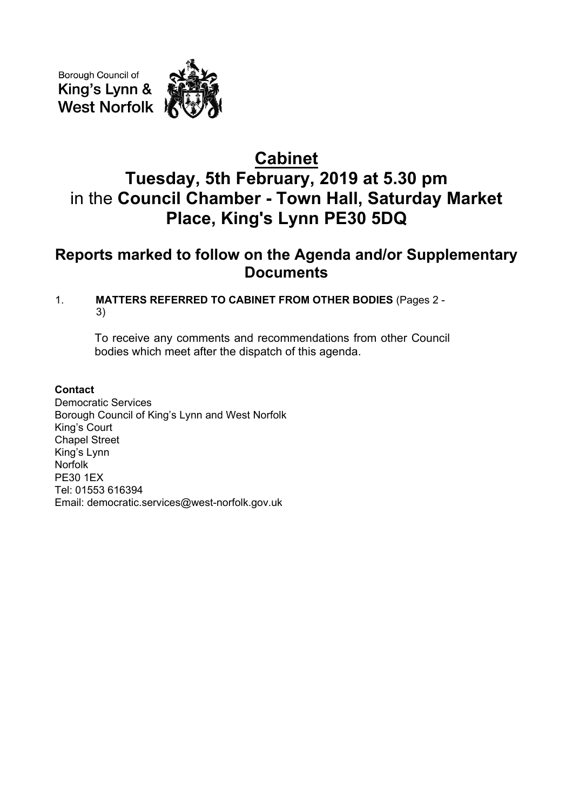Borough Council of King's Lynn & **West Norfolk** 



# **Cabinet Tuesday, 5th February, 2019 at 5.30 pm** in the **Council Chamber - Town Hall, Saturday Market Place, King's Lynn PE30 5DQ**

# **Reports marked to follow on the Agenda and/or Supplementary Documents**

## 1. **MATTERS REFERRED TO CABINET FROM OTHER BODIES** (Pages 2 - 3)

To receive any comments and recommendations from other Council bodies which meet after the dispatch of this agenda.

### **Contact**

Democratic Services Borough Council of King's Lynn and West Norfolk King's Court Chapel Street King's Lynn Norfolk PE30 1EX Tel: 01553 616394 Email: democratic.services@west-norfolk.gov.uk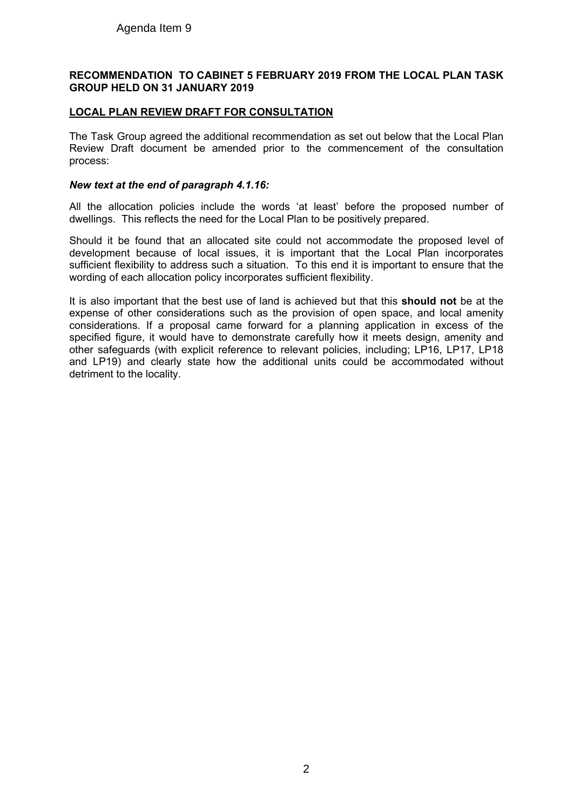#### **RECOMMENDATION TO CABINET 5 FEBRUARY 2019 FROM THE LOCAL PLAN TASK GROUP HELD ON 31 JANUARY 2019**

#### **LOCAL PLAN REVIEW DRAFT FOR CONSULTATION**

The Task Group agreed the additional recommendation as set out below that the Local Plan Review Draft document be amended prior to the commencement of the consultation process:

#### *New text at the end of paragraph 4.1.16:*

All the allocation policies include the words 'at least' before the proposed number of dwellings. This reflects the need for the Local Plan to be positively prepared.

Should it be found that an allocated site could not accommodate the proposed level of development because of local issues, it is important that the Local Plan incorporates sufficient flexibility to address such a situation. To this end it is important to ensure that the wording of each allocation policy incorporates sufficient flexibility.

It is also important that the best use of land is achieved but that this **should not** be at the expense of other considerations such as the provision of open space, and local amenity considerations. If a proposal came forward for a planning application in excess of the specified figure, it would have to demonstrate carefully how it meets design, amenity and other safeguards (with explicit reference to relevant policies, including; LP16, LP17, LP18 and LP19) and clearly state how the additional units could be accommodated without detriment to the locality.